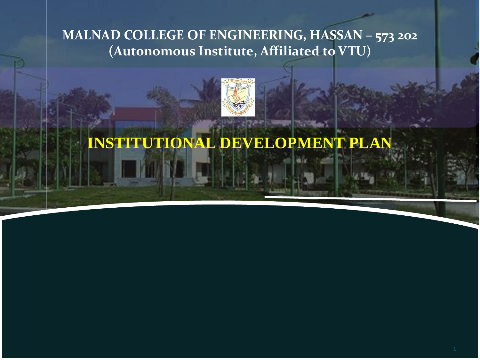**MALNAD COLLEGE OF ENGINEERING, HASSAN – 573 202 (Autonomous Institute, Affiliated to VTU)**



**INSTITUTIONAL DEVELOPMENT PLAN**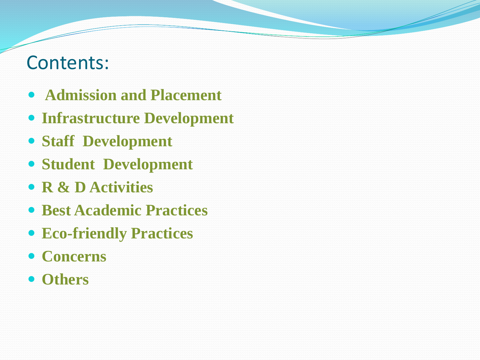# Contents:

- **Admission and Placement**
- **Infrastructure Development**
- **Staff Development**
- **Student Development**
- **R & D Activities**
- **Best Academic Practices**
- **Eco-friendly Practices**
- **Concerns**
- **Others**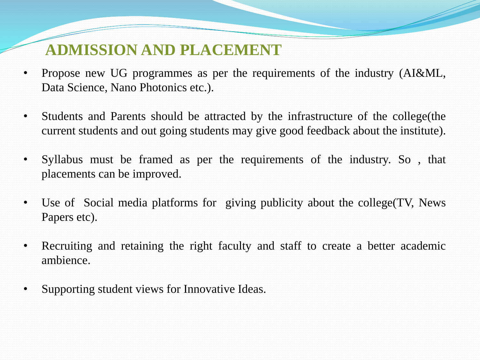## **ADMISSION AND PLACEMENT**

- Propose new UG programmes as per the requirements of the industry (AI&ML, Data Science, Nano Photonics etc.).
- Students and Parents should be attracted by the infrastructure of the college (the current students and out going students may give good feedback about the institute).
- Syllabus must be framed as per the requirements of the industry. So , that placements can be improved.
- Use of Social media platforms for giving publicity about the college (TV, News Papers etc).
- Recruiting and retaining the right faculty and staff to create a better academic ambience.
- Supporting student views for Innovative Ideas.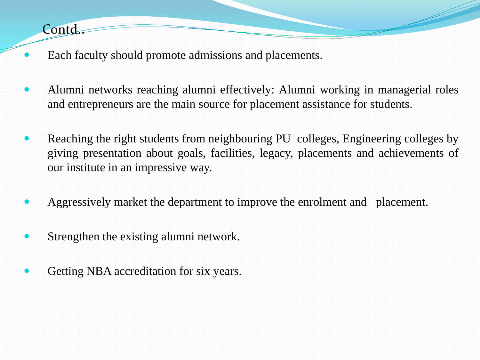Contd.

- Each faculty should promote admissions and placements.
- Alumni networks reaching alumni effectively: Alumni working in managerial roles and entrepreneurs are the main source for placement assistance for students.
- Reaching the right students from neighbouring PU colleges, Engineering colleges by giving presentation about goals, facilities, legacy, placements and achievements of our institute in an impressive way.
- Aggressively market the department to improve the enrolment and placement.
- Strengthen the existing alumni network.
- Getting NBA accreditation for six years.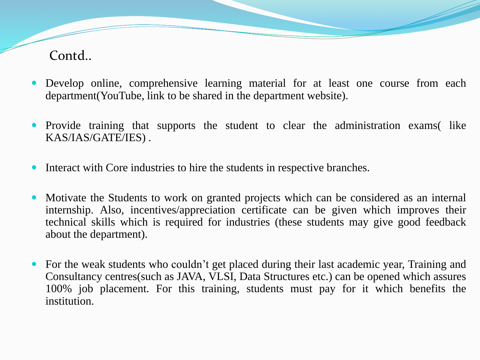#### Contd..

- Develop online, comprehensive learning material for at least one course from each department(YouTube, link to be shared in the department website).
- Provide training that supports the student to clear the administration exams (like KAS/IAS/GATE/IES) .
- Interact with Core industries to hire the students in respective branches.
- Motivate the Students to work on granted projects which can be considered as an internal internship. Also, incentives/appreciation certificate can be given which improves their technical skills which is required for industries (these students may give good feedback about the department).
- For the weak students who couldn't get placed during their last academic year, Training and Consultancy centres(such as JAVA, VLSI, Data Structures etc.) can be opened which assures 100% job placement. For this training, students must pay for it which benefits the institution.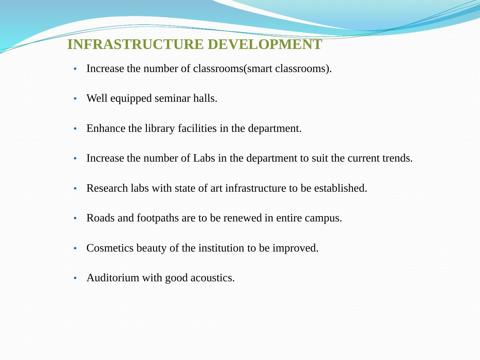#### **INFRASTRUCTURE DEVELOPMENT**

- Increase the number of classrooms(smart classrooms).
- Well equipped seminar halls.
- Enhance the library facilities in the department.
- Increase the number of Labs in the department to suit the current trends.
- Research labs with state of art infrastructure to be established.
- Roads and footpaths are to be renewed in entire campus.
- Cosmetics beauty of the institution to be improved.
- Auditorium with good acoustics.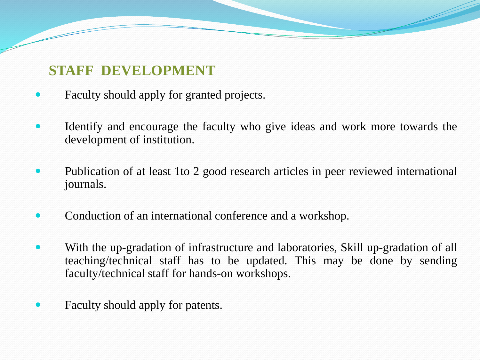## **STAFF DEVELOPMENT**

- Faculty should apply for granted projects.
- Identify and encourage the faculty who give ideas and work more towards the development of institution.
- Publication of at least 1to 2 good research articles in peer reviewed international journals.
- Conduction of an international conference and a workshop.
- With the up-gradation of infrastructure and laboratories, Skill up-gradation of all teaching/technical staff has to be updated. This may be done by sending faculty/technical staff for hands-on workshops.
- Faculty should apply for patents.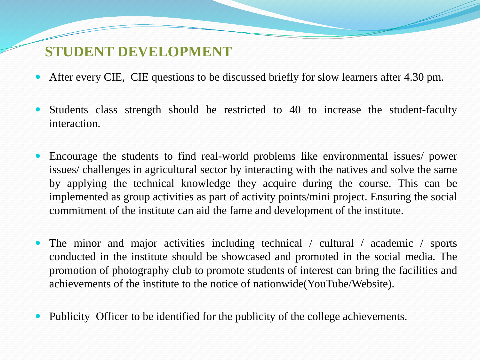#### **STUDENT DEVELOPMENT**

- After every CIE, CIE questions to be discussed briefly for slow learners after 4.30 pm.
- Students class strength should be restricted to 40 to increase the student-faculty interaction.
- Encourage the students to find real-world problems like environmental issues/ power issues/ challenges in agricultural sector by interacting with the natives and solve the same by applying the technical knowledge they acquire during the course. This can be implemented as group activities as part of activity points/mini project. Ensuring the social commitment of the institute can aid the fame and development of the institute.
- The minor and major activities including technical / cultural / academic / sports conducted in the institute should be showcased and promoted in the social media. The promotion of photography club to promote students of interest can bring the facilities and achievements of the institute to the notice of nationwide(YouTube/Website).
- Publicity Officer to be identified for the publicity of the college achievements.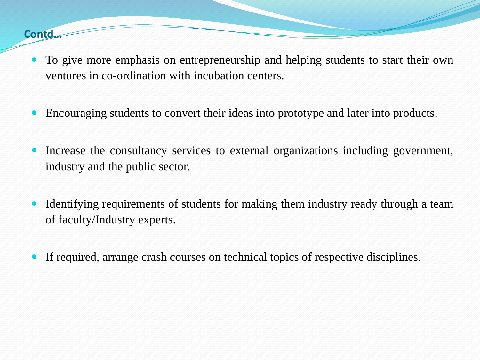#### **Contd…**

- To give more emphasis on entrepreneurship and helping students to start their own ventures in co-ordination with incubation centers.
- Encouraging students to convert their ideas into prototype and later into products.
- Increase the consultancy services to external organizations including government, industry and the public sector.
- Identifying requirements of students for making them industry ready through a team of faculty/Industry experts.
- If required, arrange crash courses on technical topics of respective disciplines.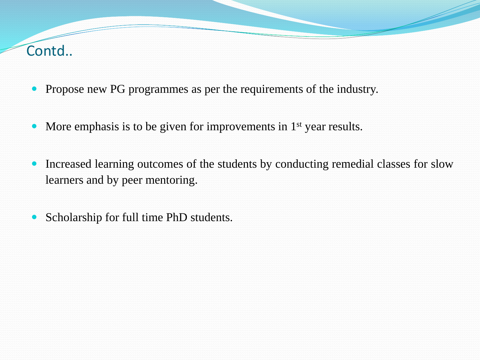## Contd..

- Propose new PG programmes as per the requirements of the industry.
- More emphasis is to be given for improvements in 1<sup>st</sup> year results.
- Increased learning outcomes of the students by conducting remedial classes for slow learners and by peer mentoring.
- Scholarship for full time PhD students.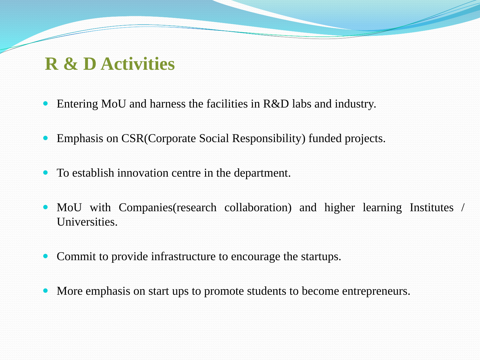# **R & D Activities**

- Entering MoU and harness the facilities in R&D labs and industry.
- Emphasis on CSR(Corporate Social Responsibility) funded projects.
- To establish innovation centre in the department.
- MoU with Companies (research collaboration) and higher learning Institutes / Universities.
- Commit to provide infrastructure to encourage the startups.
- More emphasis on start ups to promote students to become entrepreneurs.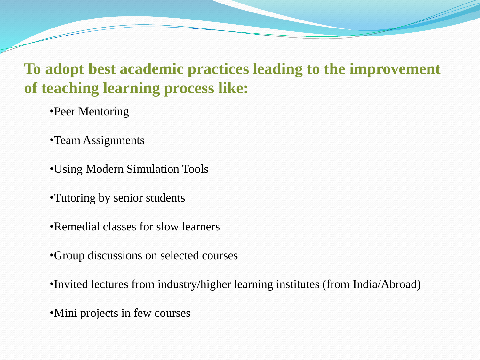# **To adopt best academic practices leading to the improvement of teaching learning process like:**

•Peer Mentoring

•Team Assignments

•Using Modern Simulation Tools

•Tutoring by senior students

•Remedial classes for slow learners

•Group discussions on selected courses

•Invited lectures from industry/higher learning institutes (from India/Abroad)

•Mini projects in few courses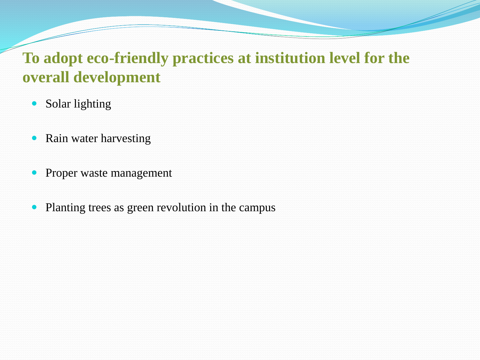## **To adopt eco-friendly practices at institution level for the overall development**

- Solar lighting
- Rain water harvesting
- Proper waste management
- Planting trees as green revolution in the campus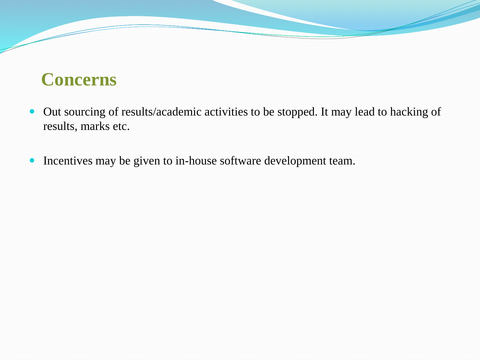# **Concerns**

- Out sourcing of results/academic activities to be stopped. It may lead to hacking of results, marks etc.
- Incentives may be given to in-house software development team.